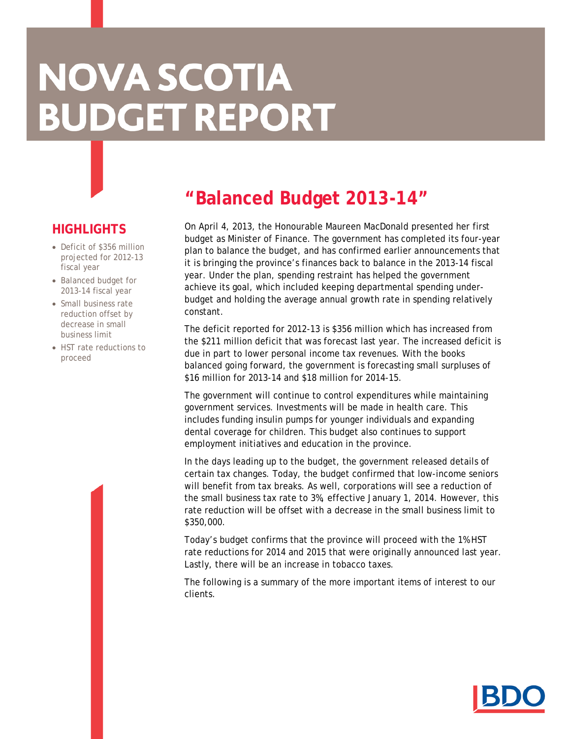# **NOVA SCOTIA BUDGET REPORT**

# **HIGHLIGHTS**

- Deficit of \$356 million projected for 2012-13 fiscal year
- Balanced budget for 2013-14 fiscal year
- Small business rate reduction offset by decrease in small business limit
- HST rate reductions to proceed

# **"Balanced Budget 2013-14"**

On April 4, 2013, the Honourable Maureen MacDonald presented her first budget as Minister of Finance. The government has completed its four-year plan to balance the budget, and has confirmed earlier announcements that it is bringing the province's finances back to balance in the 2013-14 fiscal year. Under the plan, spending restraint has helped the government achieve its goal, which included keeping departmental spending underbudget and holding the average annual growth rate in spending relatively constant.

The deficit reported for 2012-13 is \$356 million which has increased from the \$211 million deficit that was forecast last year. The increased deficit is due in part to lower personal income tax revenues. With the books balanced going forward, the government is forecasting small surpluses of \$16 million for 2013-14 and \$18 million for 2014-15.

The government will continue to control expenditures while maintaining government services. Investments will be made in health care. This includes funding insulin pumps for younger individuals and expanding dental coverage for children. This budget also continues to support employment initiatives and education in the province.

In the days leading up to the budget, the government released details of certain tax changes. Today, the budget confirmed that low-income seniors will benefit from tax breaks. As well, corporations will see a reduction of the small business tax rate to 3%, effective January 1, 2014. However, this rate reduction will be offset with a decrease in the small business limit to \$350,000.

Today's budget confirms that the province will proceed with the 1% HST rate reductions for 2014 and 2015 that were originally announced last year. Lastly, there will be an increase in tobacco taxes.

The following is a summary of the more important items of interest to our clients.

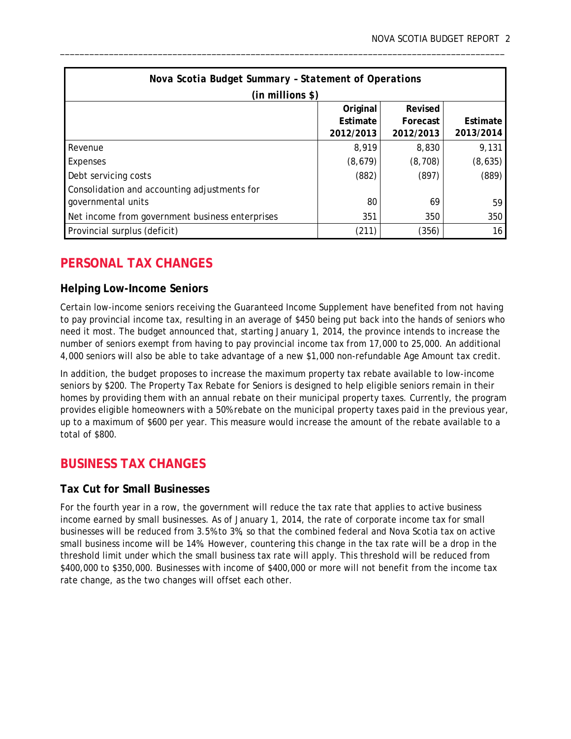| Nova Scotia Budget Summary - Statement of Operations |           |           |           |  |  |  |  |  |
|------------------------------------------------------|-----------|-----------|-----------|--|--|--|--|--|
| $(in$ millions \$)                                   |           |           |           |  |  |  |  |  |
|                                                      | Original  | Revised   |           |  |  |  |  |  |
|                                                      | Estimate  | Forecast  | Estimate  |  |  |  |  |  |
|                                                      | 2012/2013 | 2012/2013 | 2013/2014 |  |  |  |  |  |
| Revenue                                              | 8,919     | 8,830     | 9,131     |  |  |  |  |  |
| Expenses                                             | (8,679)   | (8, 708)  | (8,635)   |  |  |  |  |  |
| Debt servicing costs                                 | (882)     | (897)     | (889)     |  |  |  |  |  |
| Consolidation and accounting adjustments for         |           |           |           |  |  |  |  |  |
| governmental units                                   | 80        | 69        | 59        |  |  |  |  |  |
| Net income from government business enterprises      | 351       | 350       | 350       |  |  |  |  |  |
| Provincial surplus (deficit)                         | (211)     | (356)     | 16        |  |  |  |  |  |

\_\_\_\_\_\_\_\_\_\_\_\_\_\_\_\_\_\_\_\_\_\_\_\_\_\_\_\_\_\_\_\_\_\_\_\_\_\_\_\_\_\_\_\_\_\_\_\_\_\_\_\_\_\_\_\_\_\_\_\_\_\_\_\_\_\_\_\_\_\_\_\_\_\_\_\_\_\_\_\_\_\_\_\_\_\_\_\_\_\_\_

## **PERSONAL TAX CHANGES**

#### **Helping Low-Income Seniors**

Certain low-income seniors receiving the Guaranteed Income Supplement have benefited from not having to pay provincial income tax, resulting in an average of \$450 being put back into the hands of seniors who need it most. The budget announced that, starting January 1, 2014, the province intends to increase the number of seniors exempt from having to pay provincial income tax from 17,000 to 25,000. An additional 4,000 seniors will also be able to take advantage of a new \$1,000 non-refundable Age Amount tax credit.

In addition, the budget proposes to increase the maximum property tax rebate available to low-income seniors by \$200. The Property Tax Rebate for Seniors is designed to help eligible seniors remain in their homes by providing them with an annual rebate on their municipal property taxes. Currently, the program provides eligible homeowners with a 50% rebate on the municipal property taxes paid in the previous year, up to a maximum of \$600 per year. This measure would increase the amount of the rebate available to a total of \$800.

### **BUSINESS TAX CHANGES**

#### **Tax Cut for Small Businesses**

For the fourth year in a row, the government will reduce the tax rate that applies to active business income earned by small businesses. As of January 1, 2014, the rate of corporate income tax for small businesses will be reduced from 3.5% to 3%, so that the combined federal and Nova Scotia tax on active small business income will be 14%. However, countering this change in the tax rate will be a drop in the threshold limit under which the small business tax rate will apply. This threshold will be reduced from \$400,000 to \$350,000. Businesses with income of \$400,000 or more will not benefit from the income tax rate change, as the two changes will offset each other.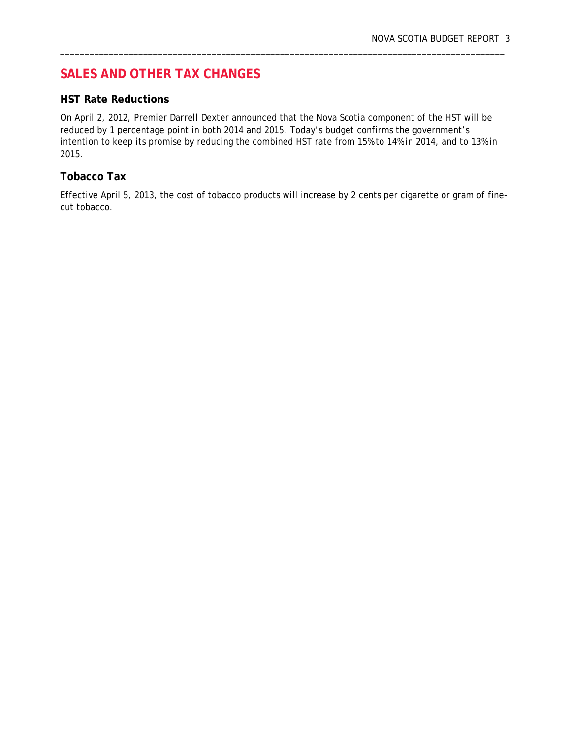# **SALES AND OTHER TAX CHANGES**

#### **HST Rate Reductions**

On April 2, 2012, Premier Darrell Dexter announced that the Nova Scotia component of the HST will be reduced by 1 percentage point in both 2014 and 2015. Today's budget confirms the government's intention to keep its promise by reducing the combined HST rate from 15% to 14% in 2014, and to 13% in 2015.

\_\_\_\_\_\_\_\_\_\_\_\_\_\_\_\_\_\_\_\_\_\_\_\_\_\_\_\_\_\_\_\_\_\_\_\_\_\_\_\_\_\_\_\_\_\_\_\_\_\_\_\_\_\_\_\_\_\_\_\_\_\_\_\_\_\_\_\_\_\_\_\_\_\_\_\_\_\_\_\_\_\_\_\_\_\_\_\_\_\_\_

#### **Tobacco Tax**

Effective April 5, 2013, the cost of tobacco products will increase by 2 cents per cigarette or gram of finecut tobacco.